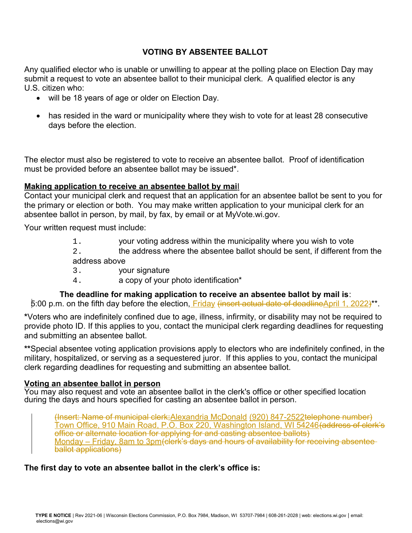# **VOTING BY ABSENTEE BALLOT**

Any qualified elector who is unable or unwilling to appear at the polling place on Election Day may submit a request to vote an absentee ballot to their municipal clerk. A qualified elector is any U.S. citizen who:

- will be 18 years of age or older on Election Day.
- has resided in the ward or municipality where they wish to vote for at least 28 consecutive days before the election.

The elector must also be registered to vote to receive an absentee ballot. Proof of identification must be provided before an absentee ballot may be issued\*.

## **Making application to receive an absentee ballot by mai**l

Contact your municipal clerk and request that an application for an absentee ballot be sent to you for the primary or election or both. You may make written application to your municipal clerk for an absentee ballot in person, by mail, by fax, by email or at MyVote.wi.gov.

Your written request must include:

- 1. your voting address within the municipality where you wish to vote
- 2. the address where the absentee ballot should be sent, if different from the address above
- 3. your signature
- 4. a copy of your photo identification\*

## **The deadline for making application to receive an absentee ballot by mail is**:

5:00 p.m. on the fifth day before the election, Friday (insert actual date of deadlineApril 1, 2022)<sup>\*\*</sup>.

**\***Voters who are indefinitely confined due to age, illness, infirmity, or disability may not be required to provide photo ID. If this applies to you, contact the municipal clerk regarding deadlines for requesting and submitting an absentee ballot.

**\*\***Special absentee voting application provisions apply to electors who are indefinitely confined, in the military, hospitalized, or serving as a sequestered juror. If this applies to you, contact the municipal clerk regarding deadlines for requesting and submitting an absentee ballot.

## **Voting an absentee ballot in person**

You may also request and vote an absentee ballot in the clerk's office or other specified location during the days and hours specified for casting an absentee ballot in person.

(Insert: Name of municipal clerk;Alexandria McDonald (920) 847-2522telephone number) Town Office, 910 Main Road, P.O. Box 220, Washington Island, WI 54246<del>(address of clerk's</del> office or alternate location for applying for and casting absentee ballots) Monday – Friday, 8am to 3pm (clerk's days and hours of availability for receiving absentee ballot applications)

**The first day to vote an absentee ballot in the clerk's office is:**